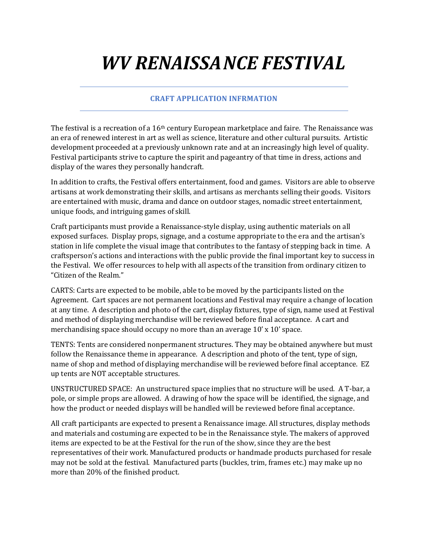## *WV RENAISSANCE FESTIVAL*

## **CRAFT APPLICATION INFRMATION**

The festival is a recreation of a  $16<sup>th</sup>$  century European marketplace and faire. The Renaissance was an era of renewed interest in art as well as science, literature and other cultural pursuits. Artistic development proceeded at a previously unknown rate and at an increasingly high level of quality. Festival participants strive to capture the spirit and pageantry of that time in dress, actions and display of the wares they personally handcraft.

In addition to crafts, the Festival offers entertainment, food and games. Visitors are able to observe artisans at work demonstrating their skills, and artisans as merchants selling their goods. Visitors are entertained with music, drama and dance on outdoor stages, nomadic street entertainment, unique foods, and intriguing games of skill.

Craft participants must provide a Renaissance-style display, using authentic materials on all exposed surfaces. Display props, signage, and a costume appropriate to the era and the artisan's station in life complete the visual image that contributes to the fantasy of stepping back in time. A craftsperson's actions and interactions with the public provide the final important key to success in the Festival. We offer resources to help with all aspects of the transition from ordinary citizen to "Citizen of the Realm."

CARTS: Carts are expected to be mobile, able to be moved by the participants listed on the Agreement. Cart spaces are not permanent locations and Festival may require a change of location at any time. A description and photo of the cart, display fixtures, type of sign, name used at Festival and method of displaying merchandise will be reviewed before final acceptance. A cart and merchandising space should occupy no more than an average  $10' \times 10'$  space.

TENTS: Tents are considered nonpermanent structures. They may be obtained anywhere but must follow the Renaissance theme in appearance. A description and photo of the tent, type of sign, name of shop and method of displaying merchandise will be reviewed before final acceptance. EZ up tents are NOT acceptable structures.

UNSTRUCTURED SPACE: An unstructured space implies that no structure will be used. A T-bar, a pole, or simple props are allowed. A drawing of how the space will be identified, the signage, and how the product or needed displays will be handled will be reviewed before final acceptance.

All craft participants are expected to present a Renaissance image. All structures, display methods and materials and costuming are expected to be in the Renaissance style. The makers of approved items are expected to be at the Festival for the run of the show, since they are the best representatives of their work. Manufactured products or handmade products purchased for resale may not be sold at the festival. Manufactured parts (buckles, trim, frames etc.) may make up no more than 20% of the finished product.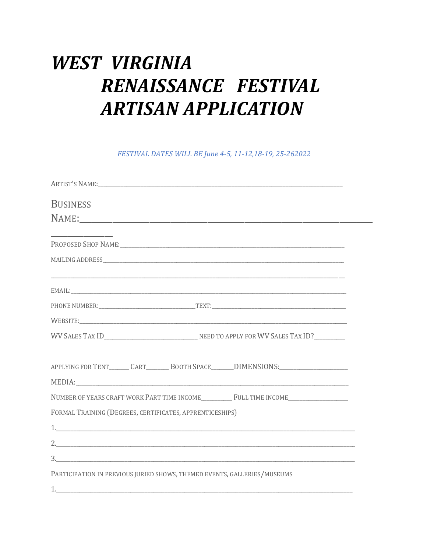## **WEST VIRGINIA** RENAISSANCE FESTIVAL **ARTISAN APPLICATION**

FESTIVAL DATES WILL BE June 4-5, 11-12,18-19, 25-262022

| <b>BUSINESS</b>                                                                   |  |
|-----------------------------------------------------------------------------------|--|
|                                                                                   |  |
|                                                                                   |  |
|                                                                                   |  |
|                                                                                   |  |
|                                                                                   |  |
|                                                                                   |  |
|                                                                                   |  |
| APPLYING FOR TENT_______CART_________BOOTH SPACE_______DIMENSIONS:_______________ |  |
| NUMBER OF YEARS CRAFT WORK PART TIME INCOME FULL TIME INCOME                      |  |
| FORMAL TRAINING (DEGREES, CERTIFICATES, APPRENTICESHIPS)                          |  |
|                                                                                   |  |
| 2.                                                                                |  |
|                                                                                   |  |
| PARTICIPATION IN PREVIOUS JURIED SHOWS, THEMED EVENTS, GALLERIES/MUSEUMS          |  |
|                                                                                   |  |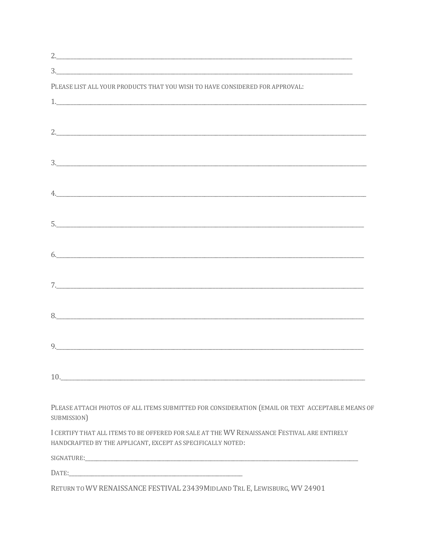| PLEASE LIST ALL YOUR PRODUCTS THAT YOU WISH TO HAVE CONSIDERED FOR APPROVAL:                                    |
|-----------------------------------------------------------------------------------------------------------------|
|                                                                                                                 |
|                                                                                                                 |
|                                                                                                                 |
|                                                                                                                 |
| 3.                                                                                                              |
|                                                                                                                 |
|                                                                                                                 |
|                                                                                                                 |
|                                                                                                                 |
|                                                                                                                 |
|                                                                                                                 |
| $\begin{array}{c} \hline \text{6.} \end{array}$                                                                 |
|                                                                                                                 |
|                                                                                                                 |
|                                                                                                                 |
|                                                                                                                 |
|                                                                                                                 |
| 9.                                                                                                              |
|                                                                                                                 |
| 10.                                                                                                             |
|                                                                                                                 |
| PLEASE ATTACH PHOTOS OF ALL ITEMS SUBMITTED FOR CONSIDERATION (EMAIL OR TEXT ACCEPTABLE MEANS OF<br>SUBMISSION) |
| I CERTIFY THAT ALL ITEMS TO BE OFFERED FOR SALE AT THE WV RENAISSANCE FESTIVAL ARE ENTIRELY                     |
| HANDCRAFTED BY THE APPLICANT, EXCEPT AS SPECIFICALLY NOTED:                                                     |
| SIGNATURE:                                                                                                      |

RETURN TO WV RENAISSANCE FESTIVAL 23439MIDLAND TRL E, LEWISBURG, WV 24901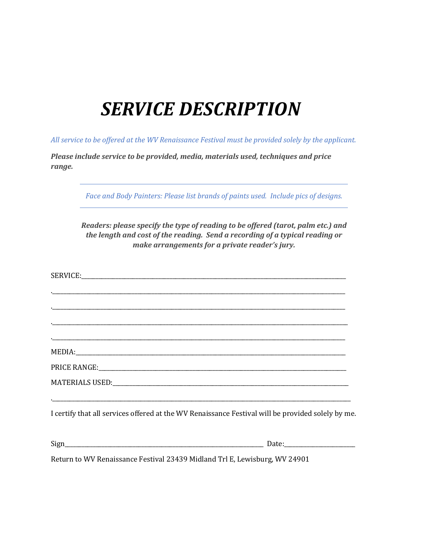## **SERVICE DESCRIPTION**

All service to be offered at the WV Renaissance Festival must be provided solely by the applicant.

Please include service to be provided, media, materials used, techniques and price *range.*

Face and Body Painters: Please list brands of paints used. Include pics of designs.

*Readers: please specify the type of reading to be offered (tarot, palm etc.) and the length and cost of the reading. Send a recording of a typical reading or make arrangements for a private reader's jury.*

|                                                                            | I certify that all services offered at the WV Renaissance Festival will be provided solely by me. |
|----------------------------------------------------------------------------|---------------------------------------------------------------------------------------------------|
|                                                                            |                                                                                                   |
| Return to WV Renaissance Festival 23439 Midland Trl E, Lewisburg, WV 24901 |                                                                                                   |